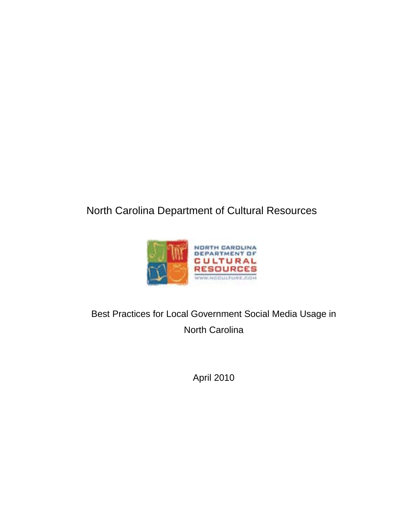# North Carolina Department of Cultural Resources



Best Practices for Local Government Social Media Usage in North Carolina

April 2010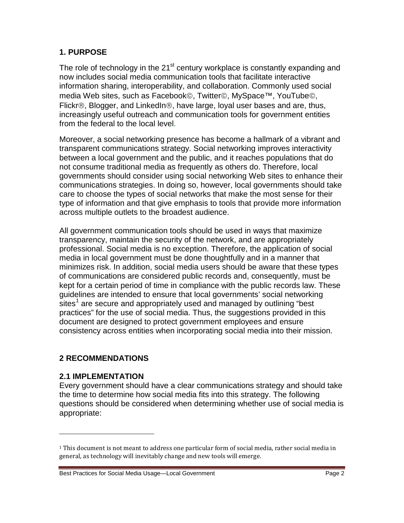#### **1. PURPOSE**

The role of technology in the 21 $<sup>st</sup>$  century workplace is constantly expanding and</sup> now includes social media communication tools that facilitate interactive information sharing, interoperability, and collaboration. Commonly used social media Web sites, such as Facebook©, Twitter©, MySpace™, YouTube©, Flickr®, Blogger, and LinkedIn®, have large, loyal user bases and are, thus, increasingly useful outreach and communication tools for government entities from the federal to the local level.

Moreover, a social networking presence has become a hallmark of a vibrant and transparent communications strategy. Social networking improves interactivity between a local government and the public, and it reaches populations that do not consume traditional media as frequently as others do. Therefore, local governments should consider using social networking Web sites to enhance their communications strategies. In doing so, however, local governments should take care to choose the types of social networks that make the most sense for their type of information and that give emphasis to tools that provide more information across multiple outlets to the broadest audience.

All government communication tools should be used in ways that maximize transparency, maintain the security of the network, and are appropriately professional. Social media is no exception. Therefore, the application of social media in local government must be done thoughtfully and in a manner that minimizes risk. In addition, social media users should be aware that these types of communications are considered public records and, consequently, must be kept for a certain period of time in compliance with the public records law. These guidelines are intended to ensure that local governments' social networking sites<sup>[1](#page-1-0)</sup> are secure and appropriately used and managed by outlining "best practices" for the use of social media. Thus, the suggestions provided in this document are designed to protect government employees and ensure consistency across entities when incorporating social media into their mission.

#### **2 RECOMMENDATIONS**

#### **2.1 IMPLEMENTATION**

i<br>I

Every government should have a clear communications strategy and should take the time to determine how social media fits into this strategy. The following questions should be considered when determining whether use of social media is appropriate:

<span id="page-1-0"></span> $1$  This document is not meant to address one particular form of social media, rather social media in general, as technology will inevitably change and new tools will emerge.

Best Practices for Social Media Usage—Local Government Page 2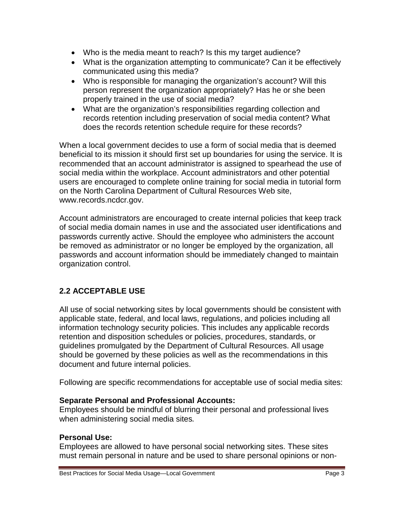- Who is the media meant to reach? Is this my target audience?
- What is the organization attempting to communicate? Can it be effectively communicated using this media?
- Who is responsible for managing the organization's account? Will this person represent the organization appropriately? Has he or she been properly trained in the use of social media?
- What are the organization's responsibilities regarding collection and records retention including preservation of social media content? What does the records retention schedule require for these records?

When a local government decides to use a form of social media that is deemed beneficial to its mission it should first set up boundaries for using the service. It is recommended that an account administrator is assigned to spearhead the use of social media within the workplace. Account administrators and other potential users are encouraged to complete online training for social media in tutorial form on the North Carolina Department of Cultural Resources Web site, www.records.ncdcr.gov.

Account administrators are encouraged to create internal policies that keep track of social media domain names in use and the associated user identifications and passwords currently active. Should the employee who administers the account be removed as administrator or no longer be employed by the organization, all passwords and account information should be immediately changed to maintain organization control.

## **2.2 ACCEPTABLE USE**

All use of social networking sites by local governments should be consistent with applicable state, federal, and local laws, regulations, and policies including all information technology security policies. This includes any applicable records retention and disposition schedules or policies, procedures, standards, or guidelines promulgated by the Department of Cultural Resources. All usage should be governed by these policies as well as the recommendations in this document and future internal policies.

Following are specific recommendations for acceptable use of social media sites:

#### **Separate Personal and Professional Accounts:**

Employees should be mindful of blurring their personal and professional lives when administering social media sites.

#### **Personal Use:**

Employees are allowed to have personal social networking sites. These sites must remain personal in nature and be used to share personal opinions or non-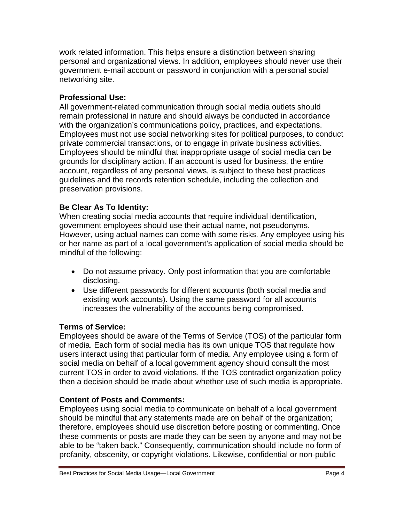work related information. This helps ensure a distinction between sharing personal and organizational views. In addition, employees should never use their government e-mail account or password in conjunction with a personal social networking site.

#### **Professional Use:**

All government-related communication through social media outlets should remain professional in nature and should always be conducted in accordance with the organization's communications policy, practices, and expectations. Employees must not use social networking sites for political purposes, to conduct private commercial transactions, or to engage in private business activities. Employees should be mindful that inappropriate usage of social media can be grounds for disciplinary action. If an account is used for business, the entire account, regardless of any personal views, is subject to these best practices guidelines and the records retention schedule, including the collection and preservation provisions.

#### **Be Clear As To Identity:**

When creating social media accounts that require individual identification, government employees should use their actual name, not pseudonyms. However, using actual names can come with some risks. Any employee using his or her name as part of a local government's application of social media should be mindful of the following:

- Do not assume privacy. Only post information that you are comfortable disclosing.
- Use different passwords for different accounts (both social media and existing work accounts). Using the same password for all accounts increases the vulnerability of the accounts being compromised.

## **Terms of Service:**

Employees should be aware of the Terms of Service (TOS) of the particular form of media. Each form of social media has its own unique TOS that regulate how users interact using that particular form of media. Any employee using a form of social media on behalf of a local government agency should consult the most current TOS in order to avoid violations. If the TOS contradict organization policy then a decision should be made about whether use of such media is appropriate.

## **Content of Posts and Comments:**

Employees using social media to communicate on behalf of a local government should be mindful that any statements made are on behalf of the organization; therefore, employees should use discretion before posting or commenting. Once these comments or posts are made they can be seen by anyone and may not be able to be "taken back." Consequently, communication should include no form of profanity, obscenity, or copyright violations. Likewise, confidential or non-public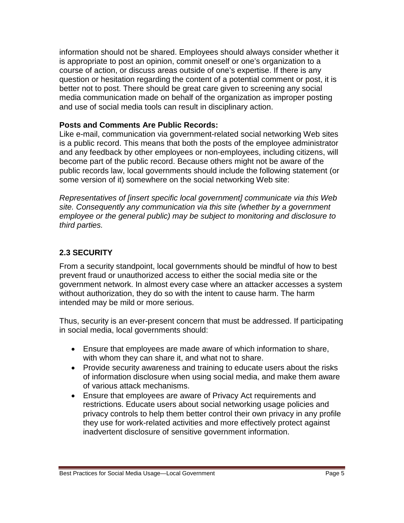information should not be shared. Employees should always consider whether it is appropriate to post an opinion, commit oneself or one's organization to a course of action, or discuss areas outside of one's expertise. If there is any question or hesitation regarding the content of a potential comment or post, it is better not to post. There should be great care given to screening any social media communication made on behalf of the organization as improper posting and use of social media tools can result in disciplinary action.

#### **Posts and Comments Are Public Records:**

Like e-mail, communication via government-related social networking Web sites is a public record. This means that both the posts of the employee administrator and any feedback by other employees or non-employees, including citizens, will become part of the public record. Because others might not be aware of the public records law, local governments should include the following statement (or some version of it) somewhere on the social networking Web site:

*Representatives of [insert specific local government] communicate via this Web site. Consequently any communication via this site (whether by a government employee or the general public) may be subject to monitoring and disclosure to third parties.*

#### **2.3 SECURITY**

From a security standpoint, local governments should be mindful of how to best prevent fraud or unauthorized access to either the social media site or the government network. In almost every case where an attacker accesses a system without authorization, they do so with the intent to cause harm. The harm intended may be mild or more serious.

Thus, security is an ever-present concern that must be addressed. If participating in social media, local governments should:

- Ensure that employees are made aware of which information to share, with whom they can share it, and what not to share.
- Provide security awareness and training to educate users about the risks of information disclosure when using social media, and make them aware of various attack mechanisms.
- Ensure that employees are aware of Privacy Act requirements and restrictions. Educate users about social networking usage policies and privacy controls to help them better control their own privacy in any profile they use for work-related activities and more effectively protect against inadvertent disclosure of sensitive government information.